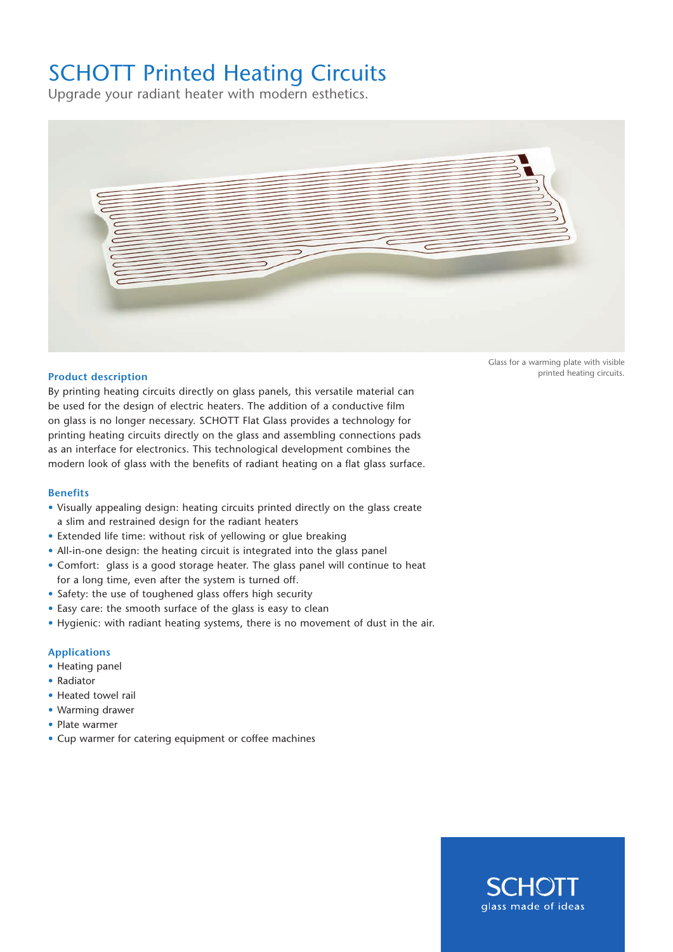## SCHOTT Printed Heating Circuits

Upgrade your radiant heater with modern esthetics.



## **Product description**

By printing heating circuits directly on glass panels, this versatile material can be used for the design of electric heaters. The addition of a conductive film on glass is no longer necessary. SCHOTT Flat Glass provides a technology for printing heating circuits directly on the glass and assembling connections pads as an interface for electronics. This technological development combines the modern look of glass with the benefits of radiant heating on a flat glass surface.

## **Benefits**

- Visually appealing design: heating circuits printed directly on the glass create a slim and restrained design for the radiant heaters
- Extended life time: without risk of yellowing or glue breaking
- All-in-one design: the heating circuit is integrated into the glass panel
- Comfort: glass is a good storage heater. The glass panel will continue to heat for a long time, even after the system is turned off.
- Safety: the use of toughened glass offers high security
- Easy care: the smooth surface of the glass is easy to clean
- Hygienic: with radiant heating systems, there is no movement of dust in the air.

## **Applications**

- Heating panel
- Radiator
- Heated towel rail
- Warming drawer
- Plate warmer
- Cup warmer for catering equipment or coffee machines

Glass for a warming plate with visible printed heating circuits.